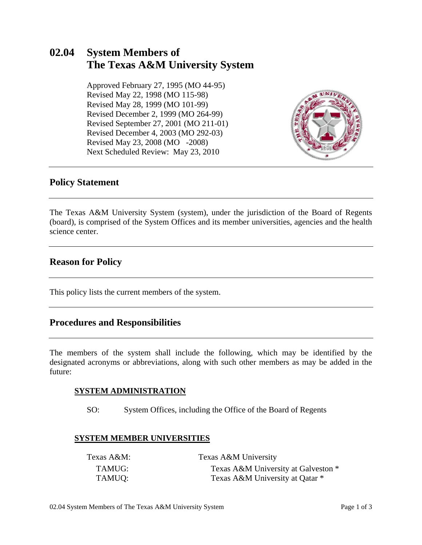## **02.04 System Members of The Texas A&M University System**

 Approved February 27, 1995 (MO 44-95) Revised May 22, 1998 (MO 115-98) Revised May 28, 1999 (MO 101-99) Revised December 2, 1999 (MO 264-99) Revised September 27, 2001 (MO 211-01) Revised December 4, 2003 (MO 292-03) Revised May 23, 2008 (MO -2008) Next Scheduled Review: May 23, 2010



### **Policy Statement**

The Texas A&M University System (system), under the jurisdiction of the Board of Regents (board), is comprised of the System Offices and its member universities, agencies and the health science center.

## **Reason for Policy**

This policy lists the current members of the system.

## **Procedures and Responsibilities**

The members of the system shall include the following, which may be identified by the designated acronyms or abbreviations, along with such other members as may be added in the future:

#### **SYSTEM ADMINISTRATION**

SO: System Offices, including the Office of the Board of Regents

#### **SYSTEM MEMBER UNIVERSITIES**

| Texas A&M: | Texas A&M University                |
|------------|-------------------------------------|
| TAMUG:     | Texas A&M University at Galveston * |
| TAMUQ:     | Texas A&M University at Qatar *     |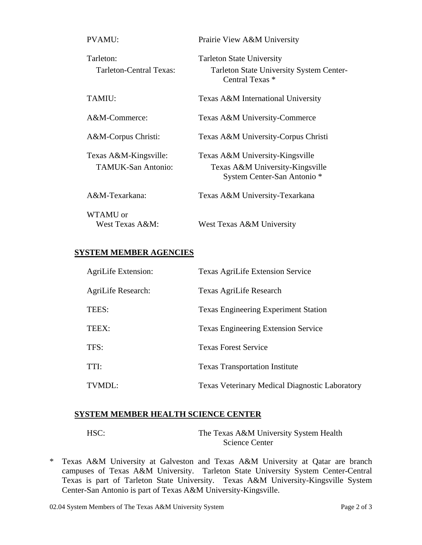| <b>PVAMU:</b>                                      | Prairie View A&M University                                                                            |
|----------------------------------------------------|--------------------------------------------------------------------------------------------------------|
| Tarleton:<br>Tarleton-Central Texas:               | <b>Tarleton State University</b><br><b>Tarleton State University System Center-</b><br>Central Texas * |
| TAMIU:                                             | Texas A&M International University                                                                     |
| A&M-Commerce:                                      | Texas A&M University-Commerce                                                                          |
| A&M-Corpus Christi:                                | Texas A&M University-Corpus Christi                                                                    |
| Texas A&M-Kingsville:<br><b>TAMUK-San Antonio:</b> | Texas A&M University-Kingsville<br>Texas A&M University-Kingsville<br>System Center-San Antonio *      |
| A&M-Texarkana:                                     | Texas A&M University-Texarkana                                                                         |
| WTAMU or<br>West Texas A&M:                        | West Texas A&M University                                                                              |

#### **SYSTEM MEMBER AGENCIES**

| AgriLife Extension: | <b>Texas AgriLife Extension Service</b>               |
|---------------------|-------------------------------------------------------|
| AgriLife Research:  | Texas AgriLife Research                               |
| TEES:               | <b>Texas Engineering Experiment Station</b>           |
| TEEX:               | <b>Texas Engineering Extension Service</b>            |
| TFS:                | <b>Texas Forest Service</b>                           |
| TTI:                | <b>Texas Transportation Institute</b>                 |
| TVMDL:              | <b>Texas Veterinary Medical Diagnostic Laboratory</b> |

## **SYSTEM MEMBER HEALTH SCIENCE CENTER**

HSC: The Texas A&M University System Health Science Center

\* Texas A&M University at Galveston and Texas A&M University at Qatar are branch campuses of Texas A&M University. Tarleton State University System Center-Central Texas is part of Tarleton State University. Texas A&M University-Kingsville System Center-San Antonio is part of Texas A&M University-Kingsville.

02.04 System Members of The Texas A&M University System Page 2 of 3